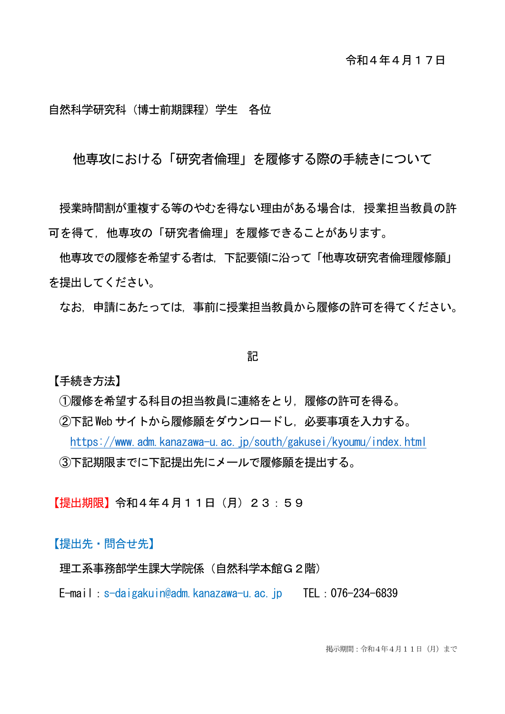## 自然科学研究科(博士前期課程)学生 各位

他専攻における「研究者倫理」を履修する際の手続きについて

**授業時間割が重複する等のやむを得ない理由がある場合は, 授業担当教員の許** 可を得て,他専攻の「研究者倫理」を履修できることがあります。

他専攻での履修を希望する者は,下記要領に沿って「他専攻研究者倫理履修願」 を提出してください。

なお,申請にあたっては,事前に授業担当教員から履修の許可を得てください。

## 記

【手続き方法】

①履修を希望する科目の担当教員に連絡をとり,履修の許可を得る。

②下記 Web サイトから履修願をダウンロードし,必要事項を入力する。

<https://www.adm.kanazawa-u.ac.jp/south/gakusei/kyoumu/index.html> ③下記期限までに下記提出先にメールで履修願を提出する。

【提出期限】令和4年4月11日(月)23:59

【提出先・問合せ先】

理工系事務部学生課大学院係 (自然科学本館G2階)

E-mail:s-daigakuin@adm.kanazawa-u.ac.jp TEL:076-234-6839

掲示期間:令和4年4月11日(月)まで